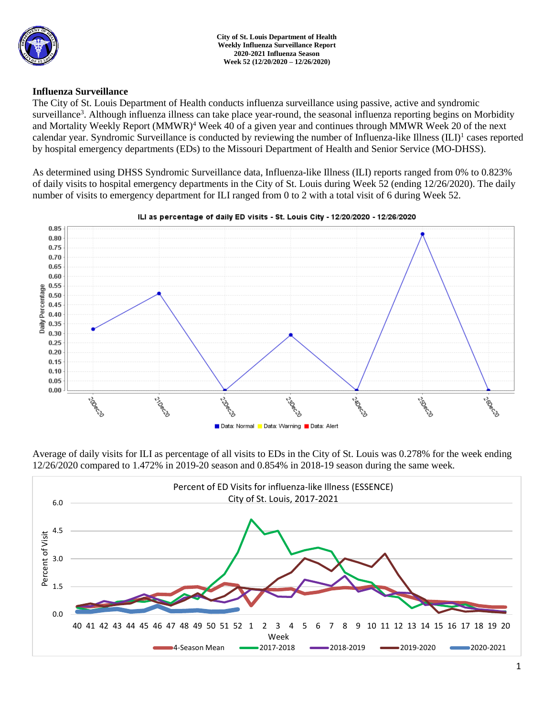

**City of St. Louis Department of Health Weekly Influenza Surveillance Report 2020-2021 Influenza Season Week 52 (12/20/2020 – 12/26/2020)**

### **Influenza Surveillance**

The City of St. Louis Department of Health conducts influenza surveillance using passive, active and syndromic surveillance<sup>3</sup>. Although influenza illness can take place year-round, the seasonal influenza reporting begins on Morbidity and Mortality Weekly Report (MMWR)<sup>4</sup> Week 40 of a given year and continues through MMWR Week 20 of the next calendar year. Syndromic Surveillance is conducted by reviewing the number of Influenza-like Illness (ILI)<sup>1</sup> cases reported by hospital emergency departments (EDs) to the Missouri Department of Health and Senior Service (MO-DHSS).

As determined using DHSS Syndromic Surveillance data, Influenza-like Illness (ILI) reports ranged from 0% to 0.823% of daily visits to hospital emergency departments in the City of St. Louis during Week 52 (ending 12/26/2020). The daily number of visits to emergency department for ILI ranged from 0 to 2 with a total visit of 6 during Week 52.



#### ILI as percentage of daily ED visits - St. Louis City - 12/20/2020 - 12/26/2020

Average of daily visits for ILI as percentage of all visits to EDs in the City of St. Louis was 0.278% for the week ending 12/26/2020 compared to 1.472% in 2019-20 season and 0.854% in 2018-19 season during the same week.

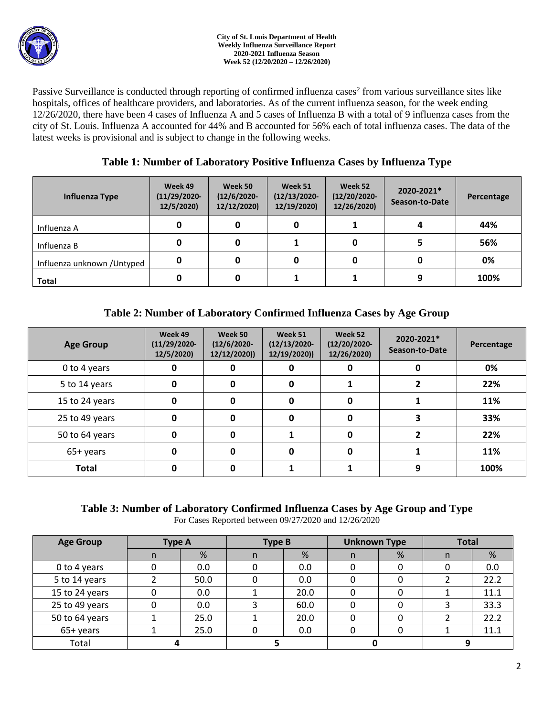Passive Surveillance is conducted through reporting of confirmed influenza cases<sup>2</sup> from various surveillance sites like hospitals, offices of healthcare providers, and laboratories. As of the current influenza season, for the week ending 12/26/2020, there have been 4 cases of Influenza A and 5 cases of Influenza B with a total of 9 influenza cases from the city of St. Louis. Influenza A accounted for 44% and B accounted for 56% each of total influenza cases. The data of the latest weeks is provisional and is subject to change in the following weeks.

## **Table 1: Number of Laboratory Positive Influenza Cases by Influenza Type**

| Influenza Type              | Week 49<br>$(11/29/2020 -$<br>12/5/2020) | Week 50<br>$(12/6/2020 -$<br>12/12/2020) | Week 51<br>$(12/13/2020 -$<br>12/19/2020) | Week 52<br>$(12/20/2020 -$<br>12/26/2020) | 2020-2021*<br>Season-to-Date | Percentage |
|-----------------------------|------------------------------------------|------------------------------------------|-------------------------------------------|-------------------------------------------|------------------------------|------------|
| Influenza A                 | 0                                        |                                          | 0                                         |                                           |                              | 44%        |
| Influenza B                 | 0                                        |                                          |                                           |                                           |                              | 56%        |
| Influenza unknown / Untyped | 0                                        |                                          | 0                                         |                                           |                              | 0%         |
| <b>Total</b>                | 0                                        |                                          |                                           |                                           |                              | 100%       |

# **Table 2: Number of Laboratory Confirmed Influenza Cases by Age Group**

| <b>Age Group</b> | Week 49<br>$(11/29/2020 -$<br>12/5/2020) | Week 50<br>$(12/6/2020 -$<br>12/12/2020)) | Week 51<br>$(12/13/2020 -$<br>12/19/2020)) | Week 52<br>$(12/20/2020 -$<br>12/26/2020) | 2020-2021*<br>Season-to-Date | Percentage |
|------------------|------------------------------------------|-------------------------------------------|--------------------------------------------|-------------------------------------------|------------------------------|------------|
| 0 to 4 years     | 0                                        | 0                                         |                                            | 0                                         | 0                            | 0%         |
| 5 to 14 years    | 0                                        | 0                                         | 0                                          |                                           |                              | 22%        |
| 15 to 24 years   | 0                                        | 0                                         | 0                                          | 0                                         |                              | 11%        |
| 25 to 49 years   | 0                                        | $\mathbf 0$                               | 0                                          | 0                                         | 3                            | 33%        |
| 50 to 64 years   | O                                        | $\mathbf{0}$                              |                                            | 0                                         |                              | 22%        |
| 65+ years        | O                                        | 0                                         |                                            | 0                                         |                              | 11%        |
| <b>Total</b>     |                                          | 0                                         |                                            |                                           | 9                            | 100%       |

# **Table 3: Number of Laboratory Confirmed Influenza Cases by Age Group and Type**

For Cases Reported between 09/27/2020 and 12/26/2020

| <b>Age Group</b> | <b>Type A</b> |      | <b>Type B</b> |      | <b>Unknown Type</b> |   | <b>Total</b> |      |
|------------------|---------------|------|---------------|------|---------------------|---|--------------|------|
|                  | n             | %    | n             | %    | n.                  | % | n            | %    |
| 0 to 4 years     |               | 0.0  |               | 0.0  |                     |   |              | 0.0  |
| 5 to 14 years    |               | 50.0 |               | 0.0  |                     |   |              | 22.2 |
| 15 to 24 years   |               | 0.0  |               | 20.0 |                     |   |              | 11.1 |
| 25 to 49 years   |               | 0.0  |               | 60.0 |                     |   |              | 33.3 |
| 50 to 64 years   |               | 25.0 |               | 20.0 |                     |   |              | 22.2 |
| 65+ years        |               | 25.0 |               | 0.0  |                     |   |              | 11.1 |
| Total            |               |      |               |      |                     |   |              |      |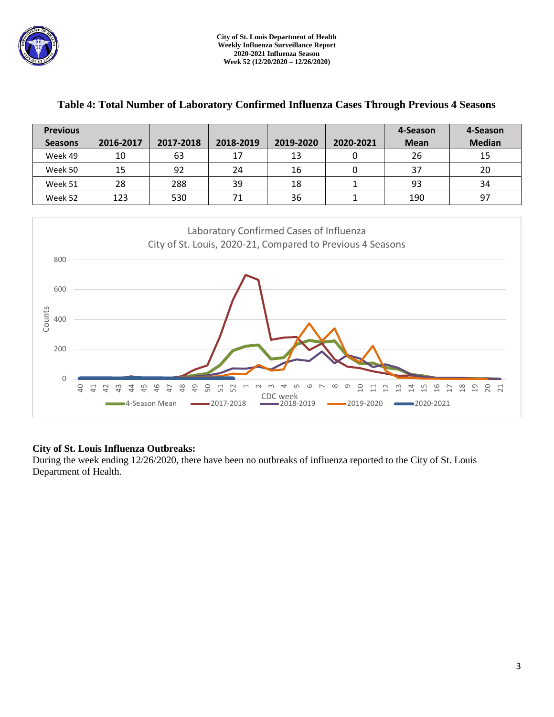

Г

T

| <b>Previous</b>            |                               |                                                               |                                                    |                                  |                                                            | 4-Season                      | 4-Season                          |
|----------------------------|-------------------------------|---------------------------------------------------------------|----------------------------------------------------|----------------------------------|------------------------------------------------------------|-------------------------------|-----------------------------------|
| <b>Seasons</b>             | 2016-2017                     | 2017-2018                                                     | 2018-2019                                          | 2019-2020                        | 2020-2021                                                  | <b>Mean</b>                   | <b>Median</b>                     |
| Week 49                    | 10                            | 63                                                            | 17                                                 | 13                               | 0                                                          | 26                            | 15                                |
| Week 50                    | 15                            | 92                                                            | 24                                                 | 16                               | 0                                                          | 37                            | 20                                |
| Week 51                    | 28                            | 288                                                           | 39                                                 | 18                               | $\mathbf 1$                                                | 93                            | 34                                |
| Week 52                    | 123                           | 530                                                           | 71                                                 | 36                               | $\mathbf 1$                                                | 190                           | 97                                |
| 800                        |                               |                                                               | Laboratory Confirmed Cases of Influenza            |                                  | City of St. Louis, 2020-21, Compared to Previous 4 Seasons |                               |                                   |
| 600                        |                               |                                                               |                                                    |                                  |                                                            |                               |                                   |
| Counts<br>400              |                               |                                                               |                                                    |                                  |                                                            |                               |                                   |
| 200                        |                               |                                                               |                                                    |                                  |                                                            |                               |                                   |
| $\Omega$<br>$\overline{a}$ | $\Xi$<br>ಞ<br>45<br>$\approx$ | $\frac{8}{4}$<br>49<br>46<br>$\overline{D}$<br>■4-Season Mean | 50<br>51<br>52<br>$\overline{ }$<br>$-2017 - 2018$ | CO<br>CDC week<br>$-2018 - 2019$ | ᡡ<br>$\overline{a}$<br>급<br>$-2019-2020$                   | $\frac{6}{1}$<br>$-2020-2021$ | $\frac{\infty}{\infty}$<br>S<br>F |

### **Table 4: Total Number of Laboratory Confirmed Influenza Cases Through Previous 4 Seasons**

т

### **City of St. Louis Influenza Outbreaks:**

During the week ending 12/26/2020, there have been no outbreaks of influenza reported to the City of St. Louis Department of Health.